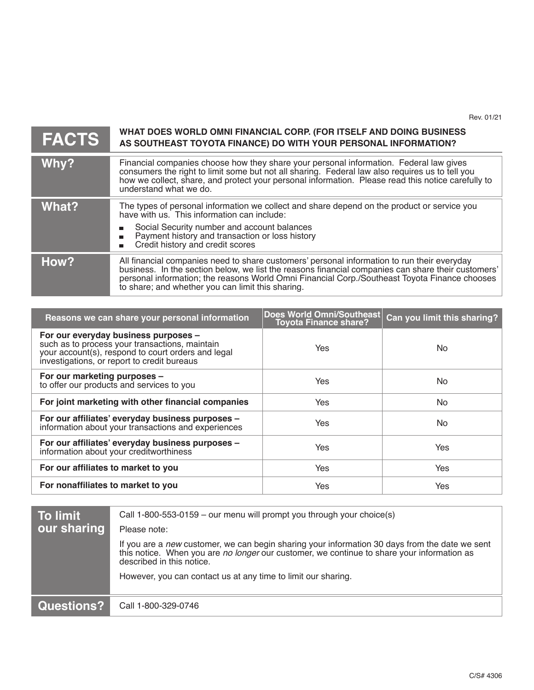Rev. 01/21

# **FACTS**

## **WHAT DOES WORLD OMNI FINANCIAL CORP. (FOR ITSELF AND DOING BUSINESS AS SOUTHEAST TOYOTA FINANCE) DO WITH YOUR PERSONAL INFORMATION?**

| Why?  | Financial companies choose how they share your personal information. Federal law gives<br>consumers the right to limit some but not all sharing. Federal law also requires us to tell you<br>how we collect, share, and protect your personal information. Please read this notice carefully to<br>understand what we do.                               |
|-------|---------------------------------------------------------------------------------------------------------------------------------------------------------------------------------------------------------------------------------------------------------------------------------------------------------------------------------------------------------|
| What? | The types of personal information we collect and share depend on the product or service you<br>have with us. This information can include:<br>Social Security number and account balances<br>Payment history and transaction or loss history<br>Credit history and credit scores                                                                        |
| How?  | All financial companies need to share customers' personal information to run their everyday<br>business. In the section below, we list the reasons financial companies can share their customers'<br>personal information; the reasons World Omni Financial Corp./Southeast Toyota Finance chooses<br>to share; and whether you can limit this sharing. |

| Reasons we can share your personal information                                                                                                                                              | Does World Omni/Southeast<br><b>Toyota Finance share?</b> | Can you limit this sharing? |
|---------------------------------------------------------------------------------------------------------------------------------------------------------------------------------------------|-----------------------------------------------------------|-----------------------------|
| For our everyday business purposes -<br>such as to process your transactions, maintain<br>your account(s), respond to court orders and legal<br>investigations, or report to credit bureaus | <b>Yes</b>                                                | No.                         |
| For our marketing purposes -<br>to offer our products and services to you                                                                                                                   | Yes                                                       | No.                         |
| For joint marketing with other financial companies                                                                                                                                          | Yes                                                       | No.                         |
| For our affiliates' everyday business purposes -<br>information about your transactions and experiences                                                                                     | Yes                                                       | No.                         |
| For our affiliates' everyday business purposes -<br>information about your creditworthiness                                                                                                 | Yes                                                       | <b>Yes</b>                  |
| For our affiliates to market to you                                                                                                                                                         | Yes                                                       | Yes                         |
| For nonaffiliates to market to you                                                                                                                                                          | Yes                                                       | Yes                         |

| <b>To limit</b><br>our sharing | Call 1-800-553-0159 – our menu will prompt you through your choice(s)<br>Please note:                                                                                                                                     |
|--------------------------------|---------------------------------------------------------------------------------------------------------------------------------------------------------------------------------------------------------------------------|
|                                | If you are a new customer, we can begin sharing your information 30 days from the date we sent<br>this notice. When you are no longer our customer, we continue to share your information as<br>described in this notice. |
|                                | However, you can contact us at any time to limit our sharing.                                                                                                                                                             |
| Questions?                     | Call 1-800-329-0746                                                                                                                                                                                                       |